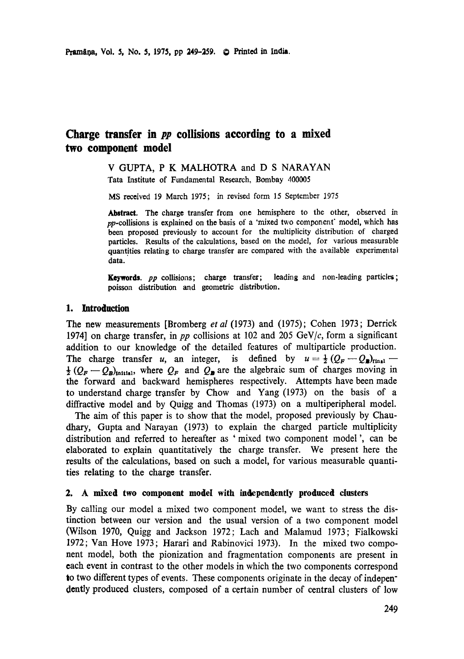# **Charge transfer in pp collisions according to a mixed two component model**

### V GUPTA, P K MALHOTRA and D S NARAYAN Tata Institute of Fundamental Research, Bombay 400005

MS received 19 March 1975; in revised form 15 September 1975

Abstract. The charge transfer from one hemisphere to the other, observed in pp-collisions is explained on the basis of a 'mixed two component" model, which **has**  been proposed previously to account for the multiplicity distribution of charged particles. Results of the calculations, based on the model, for various measurable quantities relating to charge transfer are compared with the available experimental **data.** 

Keywords. pp collisions; charge transfer; leading and non-leading particles; **poisson** distribution and geometric distribvtion.

# **1. Introduction**

The new measurements [Bromberg *et al* (1973) and (1975); Cohen 1973; Derrick 1974] on charge transfer, in *pp* collisions at 102 and 205 GeV/c, form a significant addition to our knowledge of the detailed features of multiparticle production. The charge transfer u, an integer, is defined by  $u=\frac{1}{2}(Q_F-Q_F)_{\text{final}}$  $\frac{1}{2} (Q_F - Q_B)_{\text{initial}}$ , where  $Q_F$  and  $Q_B$  are the algebraic sum of charges moving in the forward and backward hemispheres respectively. Attempts have been made to understand charge transfer by Chow and Yang (1973) on the basis of a diffractive model and by Quigg and Thomas (1973) on a multiperipheral model.

The aim of this paper is to show that the model, proposed previously by Chaudhary, Gupta and Narayan (1973) to explain the charged particle multiplicity distribution and referred to hereafter as 'mixed two component model ', can be elaborated to explain quantitatively the charge transfer. We present here the results of the calculations, based on such a model, for various measurable quantities relating to the charge transfer.

# **2. A mixed two component model with independently produced dusters**

By calling our model a mixed two component model, we want to stress the distinction between our version and the usual version of a two component model (Wilson 1970, Quigg and Jackson 1972; Lach and Malamud 1973; Fialkowski 1972; Van Hove 1973; Harari and Rabinovici 1973). In the mixed two component model, both the pionization and fragmentation components are present in each event in contrast to the other models in which the two components correspond to two different types of events. These components originate in the decay of independently produced clusters, composed of a certain number of central clusters of low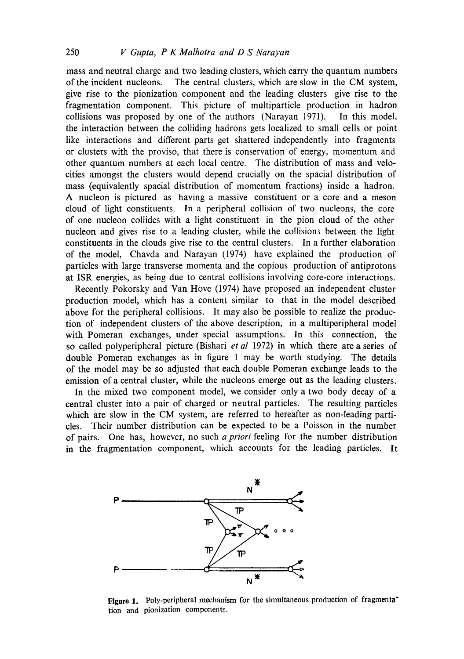mass and neutral charge and two leading dusters, which carry the quantum numbers of the incident nucleons. The central clusters, which are slow in the CM system, give rise to the pionization component and the leading clusters give rise to the fragmentation component. This picture of multiparticle production in hadron collisions was proposed by one of the authors (Narayan 1971). In this model, the interaction between the colliding hadrons gets localized to small cells or point like interactions and different parts get shattered independently into fragments or clusters with the proviso, that there is conservation of energy, momentum and other quantum numbers at each local centre. The distribution of mass and velocities amongst the clusters would depend crucially on the spacial distribution of mass (equivalently spacial distribution of momentum fractions) inside a hadron. A nucleon is pictured as having a massive constituent or a core and a meson cloud of light constituents. In a peripheral collision of two nucleons, the core of one nucleon collides with a light constituent in the pion cloud of the other nucleon and gives rise to a leading cluster, while the collisions between the light constituents in the clouds give rise to the central clusters. In a further elaboration of the model, Chavda and Narayan (1974) have explained the production of particles with large transverse momenta and the copious production of antiprotons at ISR energies, as being due to central collisions involving core-core interactions.

Recently Pokorsky and Van Hove (1974) have proposed an independent cluster production model, which has a content similar to that in the model described above for the peripheral collisions. It may also be possible to realize the production of independent clusters of the above description, in a multiperipheral model with Pomeran exchanges, under special assumptions. In this connection, the so called polyperipheral picture (Bishari *et al* 1972) in which there are a series of double Pomeran exchanges as in figure 1 may be worth studying. The details of the model may be so adjusted that each double Pomeran exchange leads to the emission of a central cluster, while the nucleons emerge out as the leading clusters.

In the mixed two component model, we consider only a two body decay of a central cluster into a pair of charged or neutral particles. The resulting particles which are slow in the CM system, are referred to hereafter as non-leading particles. Their number distribution can be expected to be a Poisson in the number of pairs. One has, however, no such *a priori* feeling for the number distribution in the fragmentation component, which accounts for the leading particles. It



Figure 1. Poly-peripheral mechanism for the simultaneous production of fragmenta<sup>-</sup> tion and pionization components.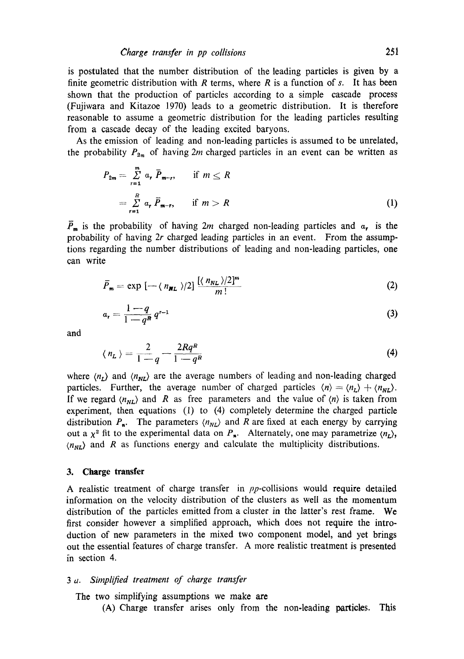is postulated that the number distribution of the leading particles is given by a finite geometric distribution with  $R$  terms, where  $R$  is a function of  $s$ . It has been shown that the production of particles according to a simple cascade process (Fnjiwara and Kitazoe 1970) leads to a geometric distribution. It is therefore reasonable to assume a geometric distribution for the leading particles resulting from a cascade decay of the leading excited baryons.

As the emission of leading and non-leading particles is assumed to be unrelated, the probability  $P_{2m}$  of having 2m charged particles in an event can be written as

$$
P_{2m} = \sum_{r=1}^{m} \alpha_r \overline{P}_{m-r}, \quad \text{if } m \le R
$$
  
= 
$$
\sum_{r=1}^{R} \alpha_r \overline{P}_{m-r}, \quad \text{if } m > R
$$
 (1)

 $\overline{P}_m$  is the probability of having 2m charged non-leading particles and  $a_r$  is the probability of having 2r charged leading particles in an event. From the assumptions regarding the number distributions of leading and non-leading particles, one can write

$$
\bar{P}_{\mathbf{m}} = \exp\left[-\langle n_{\mathbf{N}L}\rangle/2\right] \frac{\left[\langle n_{\mathbf{N}L}\rangle/2\right]^m}{m!} \tag{2}
$$

$$
a_{r} = \frac{1-q}{1-q^{n}} q^{r-1}
$$
 (3)

and

$$
\langle n_L \rangle = \frac{2}{1-q} - \frac{2Rq^R}{1-q^R} \tag{4}
$$

where  $\langle n_L \rangle$  and  $\langle n_{NL} \rangle$  are the average numbers of leading and non-leading charged particles. Further, the average number of charged particles  $\langle n \rangle = \langle n_L \rangle + \langle n_{NL} \rangle$ . If we regard  $\langle n_{NL} \rangle$  and R as free parameters and the value of  $\langle n \rangle$  is taken from experiment, then equations (1) to (4) completely determine the charged particle distribution  $P_n$ . The parameters  $\langle n_{NL} \rangle$  and R are fixed at each energy by carrying out a  $\chi^2$  fit to the experimental data on  $P_n$ . Alternately, one may parametrize  $\langle n_L \rangle$ ,  $\langle n_{NL} \rangle$  and R as functions energy and calculate the multiplicity distributions.

### **3. Charge transfer**

A realistic treatment of charge transfer in pp-collisions would require detailed information on the velocity distribution of the clusters as well as the momentum distribution of the particles emitted from a cluster in the latter's rest frame. We first consider however a simplified approach, which does not require the introduction of new parameters in the mixed two component model, and yet brings out the essential features of charge transfer. A more realistic treatment is presented fn section 4.

### *3 a. Simplified treatment of charge transfer*

The two simplifying assumptions we make are

(A) Charge transfer arises only from the non-leading particles. This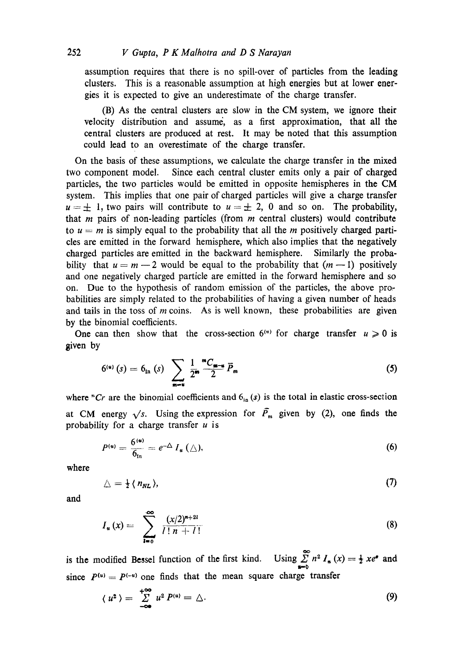assumption requires that there is no spill-over of particles from the leading clusters. This is a reasonable assumption at high energies but at lower energies it is expected to give an underestimate of the charge transfer.

(B) As the central clusters are slow in the CM system, we ignore their velocity distribution and assume, as a first approximation, that all the central clusters are produced at rest. It may be noted that this assumption could lead to an overestimate of the charge transfer.

On the basis of these assumptions, we calculate the charge transfer in the mixed two component model. Since each central cluster emits only a pair of charged particles, the two particles would be emitted in opposite hemispheres in the CM system. This implies that one pair of charged particles will give a charge transfer  $u = \pm 1$ , two pairs will contribute to  $u = \pm 2$ , 0 and so on. The probability, that  $m$  pairs of non-leading particles (from  $m$  central clusters) would contribute to  $u = m$  is simply equal to the probability that all the *m* positively charged particles are emitted in the forward hemisphere, which also implies that the negatively charged particles are emitted in the backward hemisphere. Similarly the probability that  $u = m - 2$  would be equal to the probability that  $(m - 1)$  positively and one negatively charged particle are emitted in the forward hemisphere and so on. Due to the hypothesis of random emission of the particles, the above probabilities are simply related to the probabilities of having a given number of heads and tails in the toss of  $m$  coins. As is well known, these probabilities are given by the binomial coefficients.

One can then show that the cross-section  $6^{(u)}$  for charge transfer  $u \ge 0$  is given by

$$
6^{(u)}(s) = 6_{\text{in}}(s) \sum_{m=u} \frac{1}{2^m} \frac{{}^mC_{m-u}}{{2}} \bar{P}_m
$$
 (5)

where "Cr are the binomial coefficients and  $6_{in}(s)$  is the total in elastic cross-section at CM energy  $\sqrt{s}$ . Using the expression for  $\overline{P}_m$  given by (2), one finds the probability for a charge transfer  $u$  is

$$
P^{(u)} = \frac{6^{(u)}}{6_{\text{In}}} = e^{-\Delta} I_u(\triangle), \qquad (6)
$$

where

$$
\triangle = \frac{1}{2} \langle n_{NL} \rangle, \tag{7}
$$

and

$$
I_u(x) = \sum_{l=0}^{\infty} \frac{(x/2)^{n+2l}}{l! \, n+l!}
$$
 (8)

is the modified Bessel function of the first kind. since  $P^{(u)} = P^{(-u)}$  one finds that the mean square charge transfer Using  $\sum_{n=0}^{\infty} n^2 I_n(x) = \frac{1}{2} x e^x$  and

$$
\langle u^2 \rangle = \sum_{-\infty}^{+\infty} u^2 P^{(u)} = \triangle. \tag{9}
$$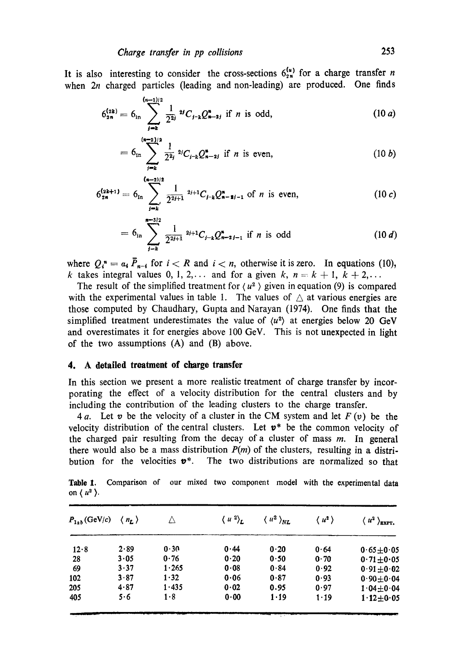It is also interesting to consider the cross-sections  $6_{2n}^{10}$  for a charge transfer *n* when  $2n$  charged particles (leading and non-leading) are produced. One finds

$$
6_{2n}^{(2k)} = 6_{\rm in} \sum_{j=k}^{(n-1)/2} \frac{1}{2^{2j}} \, {}^{2j}C_{j-k} Q_{n-2j}^* \text{ if } n \text{ is odd,} \qquad (10 \ a)
$$

$$
= 6_{\rm in} \sum_{j=k}^{(n-2)/2} \frac{1}{2^{2j}} 2^{j} C_{j-k} Q_{n-2j}^* \text{ if } n \text{ is even,} \qquad (10 \ b)
$$

$$
6_{2n}^{(2k+1)} = 6_{in} \sum_{j=k'}^{(n-2)/2} \frac{1}{2^{2j+1}} 2^{j+1} C_{j-k} Q_{n-1-j}^n \text{ of } n \text{ is even,}
$$
 (10 c)

$$
= 6_{\rm in} \sum_{j=k}^{m-3/2} \frac{1}{2^{2j+1}} 2^{j+1} C_{j-k} Q_{n-2j-1}^* \text{ if } n \text{ is odd} \qquad (10 d)
$$

where  $Q_i^* = a_i \overline{P}_{n-i}$  for  $i < R$  and  $i < n$ , otherwise it is zero. In equations (10), k takes integral values 0, 1, 2,... and for a given k,  $n=k+1, k+2,...$ 

The result of the simplified treatment for  $\langle u^2 \rangle$  given in equation (9) is compared with the experimental values in table 1. The values of  $\triangle$  at various energies are those computed by Chaudhary, Gupta and Narayan (1974). One finds that the simplified treatment underestimates the value of  $\langle u^2 \rangle$  at energies below 20 GeV and overestimates it for energies above 100 GeV. This is not unexpected in light of the two assumptions (A) and (B) above.

#### **4. A dotailed troatment of charge transfer**

In this section we present a more realistic treatment of charge transfer by incorporating the effect of a velocity distribution for the central clusters and by including the contribution of the leading clusters to the charge transfer.

4a. Let v be the velocity of a cluster in the CM system and let  $F(v)$  be the velocity distribution of the central clusters. Let  $v^*$  be the common velocity of the charged pair resulting from the decay of a cluster of mass  $m$ . In general there would also be a mass distribution  $P(m)$  of the clusters, resulting in a distribution for the velocities  $v^*$ . The two distributions are normalized so that

Table 1. Comparison of our mixed two component model with the experimental data on  $\langle u^2 \rangle$ .

| $P_{1ab}$ (GeV/c) | $\langle n_{L} \rangle$ |       | $\langle u^2 \rangle_L$ | $\langle u^2 \rangle_{NL}$ | $\langle u^2 \rangle$ | $\langle u^2 \rangle_{\text{EXPT}}$ |
|-------------------|-------------------------|-------|-------------------------|----------------------------|-----------------------|-------------------------------------|
| 12.8              | 2.89                    | 0.30  | 0.44                    | 0.20                       | 0.64                  | $0.65 \pm 0.05$                     |
| 28                | 3.05                    | 0.76  | 0.20                    | 0.50                       | 0.70                  | $0.71 + 0.05$                       |
| 69                | 3.37                    | 1.265 | 0.08                    | 0.84                       | 0.92                  | $0.91 \pm 0.02$                     |
| 102               | 3.87                    | 1.32  | 0.06                    | 0.87                       | 0.93                  | $0.90 \pm 0.04$                     |
| 205               | 4.87                    | 1.435 | 0.02                    | 0.95                       | 0.97                  | $1.04 \pm 0.04$                     |
| 405               | 5.6                     | 1.8   | 0.00                    | 1.19                       | $1 - 19$              | $1.12 \pm 0.05$                     |
|                   |                         |       |                         |                            |                       |                                     |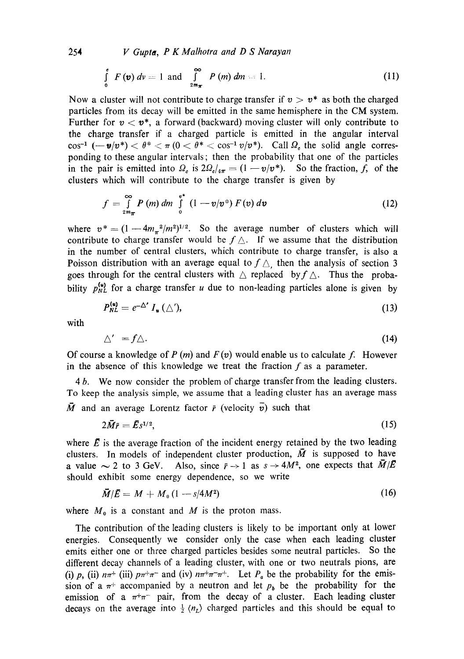254 *V Gupta, P K Malhotra and D S Narayan* 

$$
\int_{0}^{e} F(\mathbf{v}) dv = 1 \text{ and } \int_{2m_{\pi}}^{\infty} P(m) dm = 1.
$$
 (11)

Now a cluster will not contribute to charge transfer if  $v > v^*$  as both the charged particles from its decay will be emitted in the same hemisphere in the CM system. Further for  $v < v^*$ , a forward (backward) moving cluster will only contribute to the charge transfer if a charged particle is emitted in the angular interval  $\cos^{-1}(-\nu/v^*) < \theta^* < \pi (0 < \theta^* < \cos^{-1} v/v^*)$ . Call  $\Omega_e$  the solid angle corresponding to these angular intervals; then the probability that one of the particles in the pair is emitted into  $\Omega_{\epsilon}$  is  $2\Omega_{\epsilon/4\pi} = (1 - v/v^*)$ . So the fraction, f, of the clusters which will contribute to the charge transfer is given by

$$
f = \int_{2m_{\pi}}^{\infty} P(m) dm \int_{0}^{\mathbf{v}^*} (1 - \mathbf{v}/\mathbf{v}^*) F(\mathbf{v}) d\mathbf{v}
$$
 (12)

where  $v^* = (1-4m_{\pi}^2/m^2)^{1/2}$ . So the average number of clusters which will contribute to charge transfer would be  $f \triangle$ . If we assume that the distribution in the number of central clusters, which contribute to charge transfer, is also a Poisson distribution with an average equal to  $f \triangle$ , then the analysis of section 3 goes through for the central clusters with  $\triangle$  replaced by  $f \triangle$ . Thus the probability  $p_{NL}^{(u)}$  for a charge transfer u due to non-leading particles alone is given by

$$
P_{NL}^{(u)} = e^{-\Delta'} I_u(\triangle'), \qquad (13)
$$

with

$$
\triangle' = f \triangle. \tag{14}
$$

Of course a knowledge of  $P(m)$  and  $F(v)$  would enable us to calculate f. However in the absence of this knowledge we treat the fraction  $f$  as a parameter.

4 b. We now consider the problem of charge transfer from the leading clusters. To keep the analysis simple, we assume that a leading cluster has an average mass  $\vec{M}$  and an average Lorentz factor  $\vec{r}$  (velocity  $\vec{v}$ ) such that

$$
2\overline{M}\overline{r} = \overline{E}s^{1/2},\tag{15}
$$

where  $\vec{E}$  is the average fraction of the incident energy retained by the two leading clusters. In models of independent cluster production,  $\overline{M}$  is supposed to have a value  $\sim$  2 to 3 GeV. Also, since  $\bar{r} \rightarrow 1$  as  $s \rightarrow 4M^2$ , one expects that  $\bar{M}/E$ should exhibit some energy dependence, so we write

$$
\bar{M}/\bar{E} = M + M_{0} \left(1 - s/4M^{2}\right) \tag{16}
$$

where  $M_0$  is a constant and M is the proton mass.

The contribution of the leading clusters is likely to be important only at lower energies. Consequently we consider only the case when each leading cluster emits either one or three charged particles besides some neutral particles. So the different decay channels of a leading cluster, with one or two neutrals pions, are (i) p, (ii)  $n\pi^+$  (iii)  $p\pi^+\pi^-$  and (iv)  $n\pi^+\pi^-\pi^+$ . Let  $P_a$  be the probability for the emission of a  $\pi^{+}$  accompanied by a neutron and let  $p_b$  be the probability for the emission of a  $\pi^+\pi^-$  pair, from the decay of a cluster. Each leading cluster decays on the average into  $\frac{1}{2}$   $\langle n_{L} \rangle$  charged particles and this should be equal to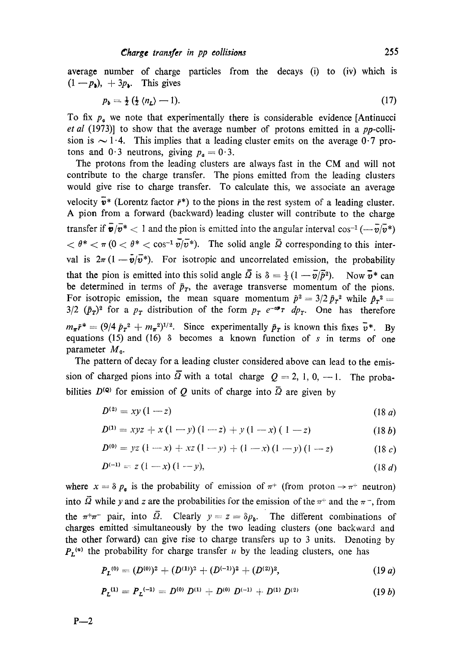average number of charge particles from the decays (i) to (iv) which is  $(1 - p_{\lambda})$ ,  $+ 3p_{\lambda}$ . This gives

$$
p_{b} = \frac{1}{2} \left( \frac{1}{2} \left\langle n_{L} \right\rangle - 1 \right). \tag{17}
$$

To fix  $p_a$  we note that experimentally there is considerable evidence [Antinucci *et al* (1973)] to show that the average number of protons emitted in a pp-collision is  $\sim$  1.4. This implies that a leading cluster emits on the average 0.7 protons and  $0.3$  neutrons, giving  $p_a = 0.3$ .

The protons from the leading clusters are always fast in the CM and will not contribute to the charge transfer. The pions emitted from the leading clusters would give rise to charge transfer. To calculate this, we associate an average velocity  $\vec{v}^*$  (Lorentz factor  $\vec{r}^*$ ) to the pions in the rest system of a leading cluster. A pion from a forward (backward) leading cluster will contribute to the charge transfer if  $\bar{\mathbf{v}}/\bar{v}^* < 1$  and the pion is emitted into the angular interval cos<sup>-1</sup> ( $-\bar{v}/\bar{v}^*$ )  $< \theta^* < \pi$  (0  $< \theta^* < \cos^{-1} \overline{\nu}/\overline{\nu}^*$ ). The solid angle  $\overline{\Omega}$  corresponding to this interval is  $2\pi (1 - \bar{\mathbf{v}}/\bar{v}^*)$ . For isotropic and uncorrelated emission, the probability that the pion is emitted into this solid angle  $\overline{\Omega}$  is  $\delta = \frac{1}{2} (1 - \overline{v}/\overline{p}^2)$ . Now  $\overline{v}^*$  can be determined in terms of  $\bar{p}_T$ , the average transverse momentum of the pions. For isotropic emission, the mean square momentum  $\bar{p}^2 = 3/2 \bar{p}_r^2$  while  $\bar{p}_r^2 =$  $3/2$   $(\bar{p}_T)^2$  for a  $p_T$  distribution of the form  $p_T e^{-\sigma p}$   $dp_T$ . One has therefore  $m_{\pi} \bar{r}^* = (9/4 \bar{p}_r^2 + m_{\pi}^2)^{1/2}$ . Since experimentally  $\bar{p}_r$  is known this fixes  $\bar{v}^*$ . By equations (15) and (16)  $\delta$  becomes a known function of s in terms of one parameter  $M_0$ .

The pattern of decay for a leading cluster considered above can lead to the emission of charged pions into  $\overline{\Omega}$  with a total charge  $Q = 2, 1, 0, -1$ . The probabilities  $D^{(Q)}$  for emission of Q units of charge into  $\overline{Q}$  are given by

$$
D^{(2)} = xy(1-z) \tag{18 a}
$$

$$
D^{(1)} = xyz + x(1-y)(1-z) + y(1-x)(1-z)
$$
 (18 b)

$$
D^{(0)} = yz(1-x) + xz(1-y) + (1-x)(1-y)(1-z) \qquad (18 c)
$$

$$
D^{(-1)} = z(1-x)(1-y), \qquad (18 d)
$$

where  $x = \delta p_a$  is the probability of emission of  $\pi^+$  (from proton  $\rightarrow \pi^+$  neutron) into  $\vec{\Omega}$  while y and z are the probabilities for the emission of the  $\pi^+$  and the  $\pi^-$ , from the  $\pi^+\pi^-$  pair, into  $\overline{\Omega}$ . Clearly  $y = z = \delta p_b$ . The different combinations of charges emitted-simultaneously by the two leading clusters (one backward and the other forward) can give rise to charge transfers up to 3 units. Denoting by  $P_L^{(u)}$  the probability for charge transfer u by the leading clusters, one has

$$
P_L^{(0)} = (D^{(0)})^2 + (D^{(1)})^2 + (D^{(-1)})^2 + (D^{(2)})^2, \qquad (19 \ a)
$$

$$
P_L^{(1)} = P_L^{(-1)} = D^{(0)} D^{(1)} + D^{(0)} D^{(-1)} + D^{(1)} D^{(2)} \qquad (19 b)
$$

 $P-2$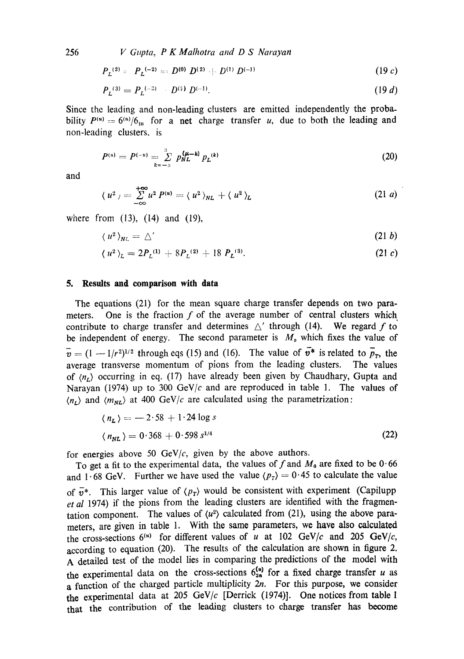256 *V Gupta, P K Malhotra and D S Narayan* 

$$
P_L^{(2)} = P_L^{(-2)} = D^{(0)} D^{(2)} + D^{(1)} D^{(-1)}
$$
 (19 c)

$$
P_L^{(3)} = P_L^{(-3)} \qquad D^{(2)} \, D^{(-1)}.\tag{19 d}
$$

Since the leading and non-leading clusters are emitted independently the probability  $P^{(u)} = 6^{(u)}/6$ <sub>in</sub> for a net charge transfer u, due to both the leading and non-leading clusters, is

$$
P^{(u)} = P^{(-u)} = \sum_{k=-\infty}^{\infty} p_{NL}^{(\mu - k)} p_L^{(k)}
$$
 (20)

and

$$
\langle u^2 \rangle = \sum_{-\infty}^{+\infty} u^2 P^{(u)} = \langle u^2 \rangle_{NL} + \langle u^2 \rangle_L \tag{21 a}
$$

where from (13), (14) and (19),

$$
\langle u^2 \rangle_{NL} = \triangle' \tag{21 b}
$$

$$
\langle u^2 \rangle_L = 2P_L^{(1)} + 8P_L^{(2)} + 18 P_L^{(3)}.
$$
 (21 c)

### **5. Results and comparison with data**

The equations (21) for the mean square charge transfer depends on two parameters. One is the fraction  $f$  of the average number of central clusters which contribute to charge transfer and determines  $\Delta'$  through (14). We regard f to be independent of energy. The second parameter is  $M<sub>o</sub>$  which fixes the value of  $\bar{v} = (1 - 1/r^2)^{1/2}$  through eqs (15) and (16). The value of  $\bar{v}^*$  is related to  $\bar{p}_r$ , the average transverse momentum of pions from the leading clusters. The values of  $\langle n_r \rangle$  occurring in eq. (17) have already been given by Chaudhary, Gupta and Narayan (1974) up to 300 GeV/c and are reproduced in table 1. The values of  $\langle n_r \rangle$  and  $\langle m_{NL} \rangle$  at 400 GeV/c are calculated using the parametrization:

$$
\langle n_L \rangle = -2.58 + 1.24 \log s
$$
  

$$
\langle n_{NL} \rangle = 0.368 + 0.598 s^{1/4}
$$
 (22)

for energies above 50  $GeV/c$ , given by the above authors.

To get a fit to the experimental data, the values of f and  $M_0$  are fixed to be 0.66 and 1.68 GeV. Further we have used the value  $\langle p_T \rangle = 0.45$  to calculate the value of  $\bar{v}^*$ . This larger value of  $\langle p_{\tau} \rangle$  would be consistent with experiment (Capilupp *et al* 1974) if the pions from the leading clusters are identified with the fragmentation component. The values of  $\langle u^2 \rangle$  calculated from (21), using the above parameters, are given in table I. With the same parameters, we have also calculated the cross-sections  $6^{(u)}$  for different values of u at 102 GeV/c and 205 GeV/c, according to equation (20). The results of the calculation are shown in figure 2. A detailed test of the model lies in comparing the predictions of the model with the experimental data on the cross-sections  $6^{(u)}_{2n}$  for a fixed charge transfer u as a function of the charged particle multiplicity  $2n$ . For this purpose, we consider the experimental data at 205 GeV/ $c$  [Derrick (1974)]. One notices from table 1 that the contribution of the leading clusters to charge transfer has become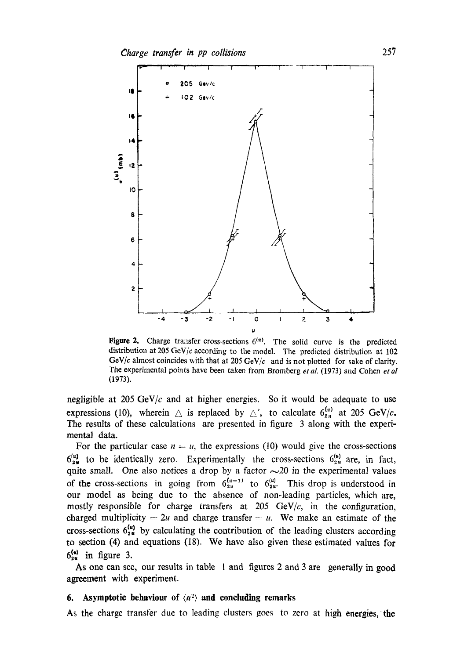

Figure 2. Charge transfer cross-sections  $6<sup>(u)</sup>$ . The solid curve is the predicted distribution at 205 GeV/c according to the model. The predicted distribution at  $102$ GeV/c almost coincides with that at 205 GeV/c and is not plotted for sake of clarity. The experimental points have been taken from Bromberg *et al.* (1973) and Cohen *et al* (1973).

negligible at 205  $GeV/c$  and at higher energies. So it would be adequate to use expressions (10), wherein  $\triangle$  is replaced by  $\triangle'$ , to calculate  $6_{2n}^{(u)}$  at 205 GeV/c. The results of these calculations are presented in figure 3 along with the experimental data.

For the particular case  $n = u$ , the expressions (10) would give the cross-sections  $6_{2\pi}^{(u)}$  to be identically zero. Experimentally the cross-sections  $6_{2\pi}^{(u)}$  are, in fact, quite small. One also notices a drop by a factor  $\sim$  20 in the experimental values of the cross-sections in going from  $6_{2u}^{(u-1)}$  to  $6_{2u}^{(u)}$ . This drop is understood in our model as being due to the absence of non-leading particles, which are, mostly responsible for charge transfers at 205 GeV/ $c$ , in the configuration, charged multiplicity = 2u and charge transfer = u. We make an estimate of the cross-sections  $6_{2\mu}^{(u)}$  by calculating the contribution of the leading clusters according to section (4) and equations (18). We have also given these estimated values for  $6_{2u}^{(u)}$  in figure 3.

As one can see, our results in table I and figures 2 and 3 are generally in good agreement with experiment.

# **6.** Asymptotic behaviour of  $\langle u^2 \rangle$  and concluding remarks

As the charge transfer due to leading clusters goes to zero at high energies, the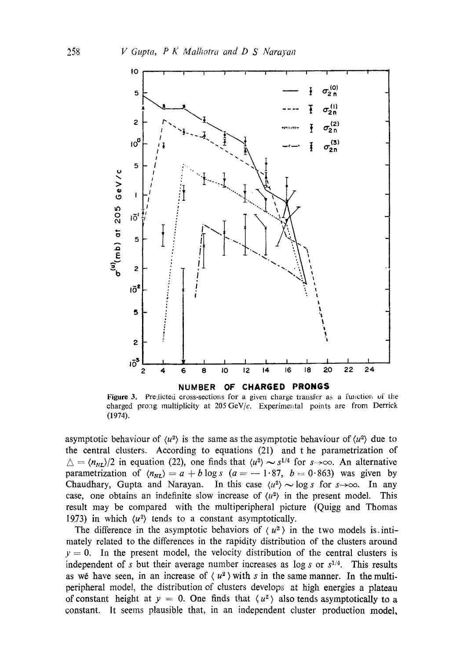

Figure 3. Predicted cross-sections for a given charge transfer as a function of the charged prong multiplicity at 205 GeV/ $c$ . Experimental points are from Derrick (1974).

asymptotic behaviour of  $\langle u^2 \rangle$  is the same as the asymptotic behaviour of  $\langle u^2 \rangle$  due to the central clusters. According to equations (21) and t he parametrization of  $\Delta = \langle n_{NL} \rangle / 2$  in equation (22), one finds that  $\langle u^2 \rangle \sim s^{1/4}$  for  $s \to \infty$ . An alternative parametrization of  $\langle n_{NL} \rangle = a + b \log s$  (a = -1.87, b = 0.863) was given by Chaudhary, Gupta and Narayan. In this case  $\langle u^2 \rangle \sim \log s$  for  $s \rightarrow \infty$ . In any case, one obtains an indefinite slow increase of  $\langle u^2 \rangle$  in the present model. This result may be compared with the multiperipheral picture (Quigg and Thomas 19.73) in which  $\langle u^2 \rangle$  tends to a constant asymptotically.

The difference in the asymptotic behaviors of  $\langle u^2 \rangle$  in the two models is. intimately related to the differences in the rapidity distribution of the clusters around  $y = 0$ . In the present model, the velocity distribution of the central clusters is independent of s but their average number increases as  $\log s$  or  $s^{1/4}$ . This results as we have seen, in an increase of  $\langle u^2 \rangle$  with s in the same manner. In the multiperipheral model, the distribution of clusters develops at high energies a plateau of constant height at  $y = 0$ . One finds that  $\langle u^2 \rangle$  also tends asymptotically to a constant. It seems plausible that, in an independent cluster production model,